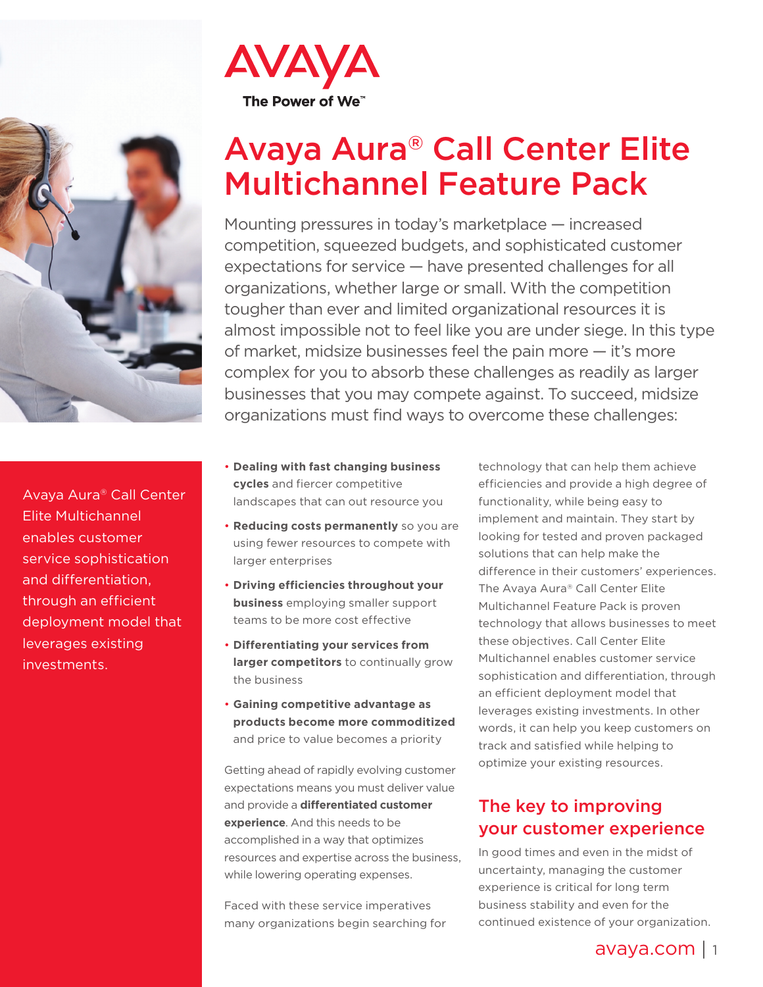

Avaya Aura® Call Center Elite Multichannel enables customer service sophistication and differentiation, through an efficient deployment model that leverages existing investments.



# Avaya Aura® Call Center Elite Multichannel Feature Pack

Mounting pressures in today's marketplace — increased competition, squeezed budgets, and sophisticated customer expectations for service — have presented challenges for all organizations, whether large or small. With the competition tougher than ever and limited organizational resources it is almost impossible not to feel like you are under siege. In this type of market, midsize businesses feel the pain more — it's more complex for you to absorb these challenges as readily as larger businesses that you may compete against. To succeed, midsize organizations must find ways to overcome these challenges:

- **Dealing with fast changing business cycles** and fiercer competitive landscapes that can out resource you
- **Reducing costs permanently** so you are using fewer resources to compete with larger enterprises
- **Driving efficiencies throughout your business** employing smaller support teams to be more cost effective
- **Differentiating your services from larger competitors** to continually grow the business
- **Gaining competitive advantage as products become more commoditized** and price to value becomes a priority

Getting ahead of rapidly evolving customer expectations means you must deliver value and provide a **differentiated customer experience**. And this needs to be accomplished in a way that optimizes resources and expertise across the business, while lowering operating expenses.

Faced with these service imperatives many organizations begin searching for technology that can help them achieve efficiencies and provide a high degree of functionality, while being easy to implement and maintain. They start by looking for tested and proven packaged solutions that can help make the difference in their customers' experiences. The Avaya Aura® Call Center Elite Multichannel Feature Pack is proven technology that allows businesses to meet these objectives. Call Center Elite Multichannel enables customer service sophistication and differentiation, through an efficient deployment model that leverages existing investments. In other words, it can help you keep customers on track and satisfied while helping to optimize your existing resources.

#### The key to improving your customer experience

In good times and even in the midst of uncertainty, managing the customer experience is critical for long term business stability and even for the continued existence of your organization.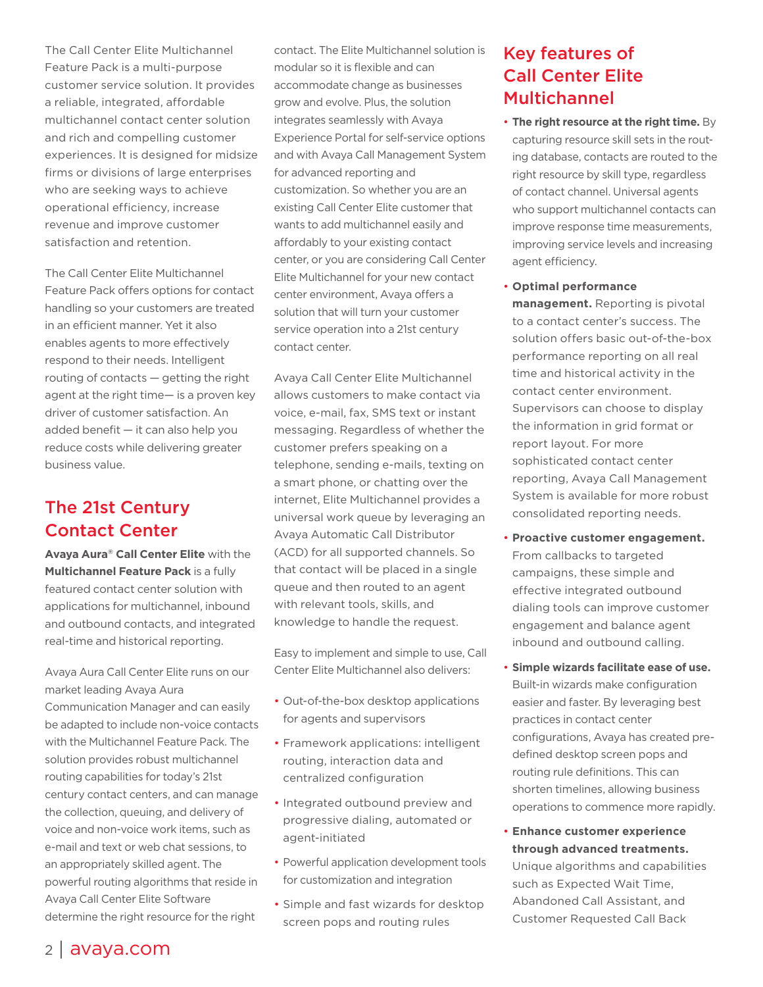The Call Center Elite Multichannel Feature Pack is a multi-purpose customer service solution. It provides a reliable, integrated, affordable multichannel contact center solution and rich and compelling customer experiences. It is designed for midsize firms or divisions of large enterprises who are seeking ways to achieve operational efficiency, increase revenue and improve customer satisfaction and retention.

The Call Center Elite Multichannel Feature Pack offers options for contact handling so your customers are treated in an efficient manner. Yet it also enables agents to more effectively respond to their needs. Intelligent routing of contacts — getting the right agent at the right time— is a proven key driver of customer satisfaction. An added benefit — it can also help you reduce costs while delivering greater business value.

## The 21st Century Contact Center

**Avaya Aura® Call Center Elite** with the **Multichannel Feature Pack** is a fully featured contact center solution with applications for multichannel, inbound and outbound contacts, and integrated real-time and historical reporting.

Avaya Aura Call Center Elite runs on our market leading Avaya Aura Communication Manager and can easily be adapted to include non-voice contacts with the Multichannel Feature Pack. The solution provides robust multichannel routing capabilities for today's 21st century contact centers, and can manage the collection, queuing, and delivery of voice and non-voice work items, such as e-mail and text or web chat sessions, to an appropriately skilled agent. The powerful routing algorithms that reside in Avaya Call Center Elite Software determine the right resource for the right

contact. The Elite Multichannel solution is modular so it is flexible and can accommodate change as businesses grow and evolve. Plus, the solution integrates seamlessly with Avaya Experience Portal for self-service options and with Avaya Call Management System for advanced reporting and customization. So whether you are an existing Call Center Elite customer that wants to add multichannel easily and affordably to your existing contact center, or you are considering Call Center Elite Multichannel for your new contact center environment, Avaya offers a solution that will turn your customer service operation into a 21st century contact center.

Avaya Call Center Elite Multichannel allows customers to make contact via voice, e-mail, fax, SMS text or instant messaging. Regardless of whether the customer prefers speaking on a telephone, sending e-mails, texting on a smart phone, or chatting over the internet, Elite Multichannel provides a universal work queue by leveraging an Avaya Automatic Call Distributor (ACD) for all supported channels. So that contact will be placed in a single queue and then routed to an agent with relevant tools, skills, and knowledge to handle the request.

Easy to implement and simple to use, Call Center Elite Multichannel also delivers:

- Out-of-the-box desktop applications for agents and supervisors
- Framework applications: intelligent routing, interaction data and centralized configuration
- Integrated outbound preview and progressive dialing, automated or agent-initiated
- Powerful application development tools for customization and integration
- Simple and fast wizards for desktop screen pops and routing rules

# Key features of Call Center Elite Multichannel

- **The right resource at the right time.** By capturing resource skill sets in the routing database, contacts are routed to the right resource by skill type, regardless of contact channel. Universal agents who support multichannel contacts can improve response time measurements, improving service levels and increasing agent efficiency.
- **Optimal performance**

**management.** Reporting is pivotal to a contact center's success. The solution offers basic out-of-the-box performance reporting on all real time and historical activity in the contact center environment. Supervisors can choose to display the information in grid format or report layout. For more sophisticated contact center reporting, Avaya Call Management System is available for more robust consolidated reporting needs.

- **Proactive customer engagement.**  From callbacks to targeted campaigns, these simple and effective integrated outbound dialing tools can improve customer engagement and balance agent inbound and outbound calling.
- **Simple wizards facilitate ease of use.**  Built-in wizards make configuration easier and faster. By leveraging best practices in contact center configurations, Avaya has created predefined desktop screen pops and routing rule definitions. This can shorten timelines, allowing business operations to commence more rapidly.
- **Enhance customer experience through advanced treatments.** Unique algorithms and capabilities such as Expected Wait Time, Abandoned Call Assistant, and Customer Requested Call Back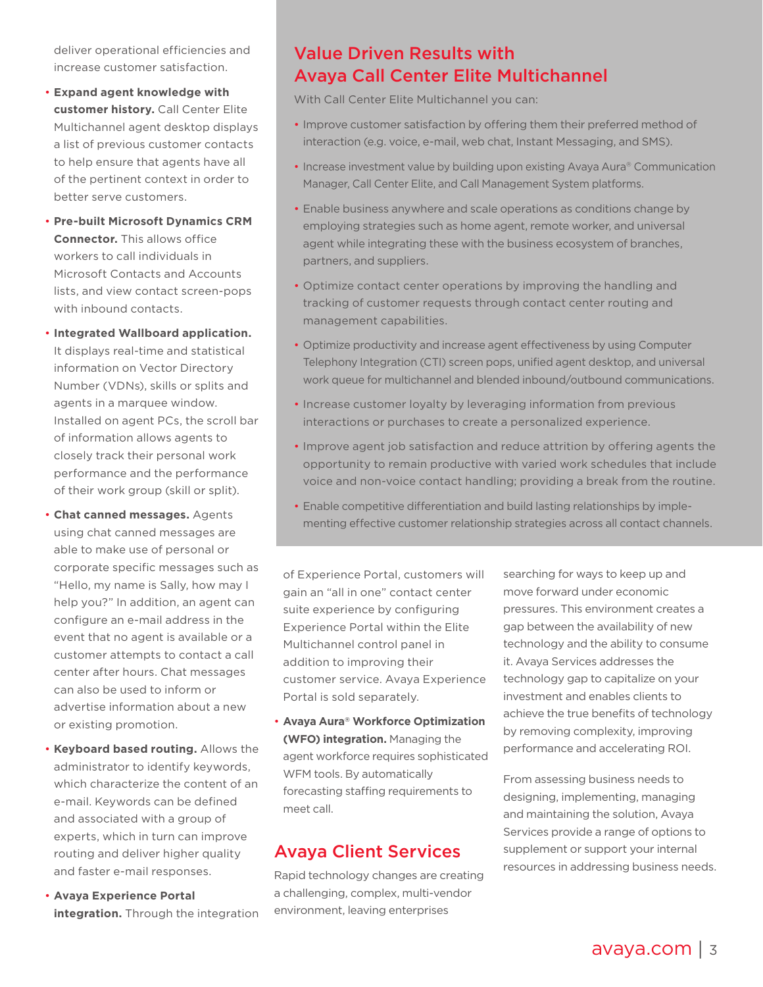deliver operational efficiencies and increase customer satisfaction.

- **Expand agent knowledge with customer history.** Call Center Elite Multichannel agent desktop displays a list of previous customer contacts to help ensure that agents have all of the pertinent context in order to better serve customers.
- **Pre-built Microsoft Dynamics CRM Connector.** This allows office workers to call individuals in Microsoft Contacts and Accounts lists, and view contact screen-pops with inbound contacts.
- **Integrated Wallboard application.** It displays real-time and statistical information on Vector Directory Number (VDNs), skills or splits and agents in a marquee window. Installed on agent PCs, the scroll bar of information allows agents to closely track their personal work performance and the performance of their work group (skill or split).
- **Chat canned messages.** Agents using chat canned messages are able to make use of personal or corporate specific messages such as "Hello, my name is Sally, how may I help you?" In addition, an agent can configure an e-mail address in the event that no agent is available or a customer attempts to contact a call center after hours. Chat messages can also be used to inform or advertise information about a new or existing promotion.
- **Keyboard based routing.** Allows the administrator to identify keywords, which characterize the content of an e-mail. Keywords can be defined and associated with a group of experts, which in turn can improve routing and deliver higher quality and faster e-mail responses.
- **Avaya Experience Portal integration.** Through the integration

#### Value Driven Results with Avaya Call Center Elite Multichannel

With Call Center Elite Multichannel you can:

- Improve customer satisfaction by offering them their preferred method of interaction (e.g. voice, e-mail, web chat, Instant Messaging, and SMS).
- Increase investment value by building upon existing Avaya Aura® Communication Manager, Call Center Elite, and Call Management System platforms.
- Enable business anywhere and scale operations as conditions change by employing strategies such as home agent, remote worker, and universal agent while integrating these with the business ecosystem of branches, partners, and suppliers.
- Optimize contact center operations by improving the handling and tracking of customer requests through contact center routing and management capabilities.
- Optimize productivity and increase agent effectiveness by using Computer Telephony Integration (CTI) screen pops, unified agent desktop, and universal work queue for multichannel and blended inbound/outbound communications.
- Increase customer loyalty by leveraging information from previous interactions or purchases to create a personalized experience.
- Improve agent job satisfaction and reduce attrition by offering agents the opportunity to remain productive with varied work schedules that include voice and non-voice contact handling; providing a break from the routine.
- Enable competitive differentiation and build lasting relationships by implementing effective customer relationship strategies across all contact channels.

of Experience Portal, customers will gain an "all in one" contact center suite experience by configuring Experience Portal within the Elite Multichannel control panel in addition to improving their customer service. Avaya Experience Portal is sold separately.

• **Avaya Aura® Workforce Optimization (WFO) integration.** Managing the agent workforce requires sophisticated WFM tools. By automatically forecasting staffing requirements to meet call.

#### Avaya Client Services

Rapid technology changes are creating a challenging, complex, multi-vendor environment, leaving enterprises

searching for ways to keep up and move forward under economic pressures. This environment creates a gap between the availability of new technology and the ability to consume it. Avaya Services addresses the technology gap to capitalize on your investment and enables clients to achieve the true benefits of technology by removing complexity, improving performance and accelerating ROI.

From assessing business needs to designing, implementing, managing and maintaining the solution, Avaya Services provide a range of options to supplement or support your internal resources in addressing business needs.